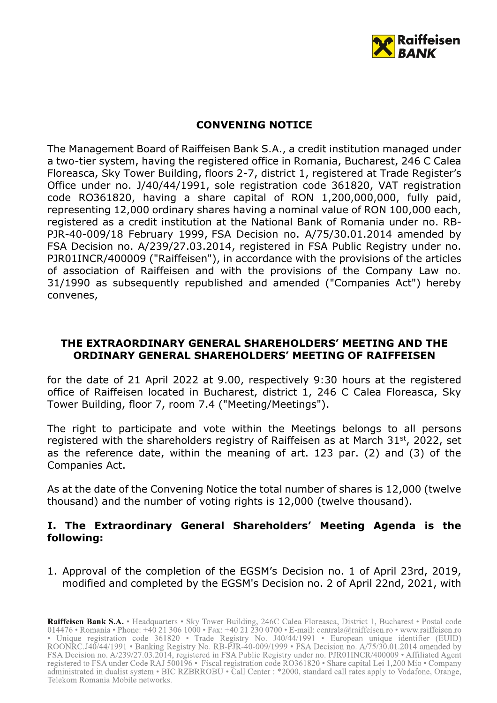

### **CONVENING NOTICE**

The Management Board of Raiffeisen Bank S.A., a credit institution managed under a two-tier system, having the registered office in Romania, Bucharest, 246 C Calea Floreasca, Sky Tower Building, floors 2-7, district 1, registered at Trade Register's Office under no. J/40/44/1991, sole registration code 361820, VAT registration code RO361820, having a share capital of RON 1,200,000,000, fully paid, representing 12,000 ordinary shares having a nominal value of RON 100,000 each, registered as a credit institution at the National Bank of Romania under no. RB-PJR-40-009/18 February 1999, FSA Decision no. A/75/30.01.2014 amended by FSA Decision no. A/239/27.03.2014, registered in FSA Public Registry under no. PJR01INCR/400009 ("Raiffeisen"), in accordance with the provisions of the articles of association of Raiffeisen and with the provisions of the Company Law no. 31/1990 as subsequently republished and amended ("Companies Act") hereby convenes,

### **THE EXTRAORDINARY GENERAL SHAREHOLDERS' MEETING AND THE ORDINARY GENERAL SHAREHOLDERS' MEETING OF RAIFFEISEN**

for the date of 21 April 2022 at 9.00, respectively 9:30 hours at the registered office of Raiffeisen located in Bucharest, district 1, 246 C Calea Floreasca, Sky Tower Building, floor 7, room 7.4 ("Meeting/Meetings").

The right to participate and vote within the Meetings belongs to all persons registered with the shareholders registry of Raiffeisen as at March 31<sup>st</sup>, 2022, set as the reference date, within the meaning of art. 123 par. (2) and (3) of the Companies Act.

As at the date of the Convening Notice the total number of shares is 12,000 (twelve thousand) and the number of voting rights is 12,000 (twelve thousand).

## **I. The Extraordinary General Shareholders' Meeting Agenda is the following:**

1. Approval of the completion of the EGSM's Decision no. 1 of April 23rd, 2019, modified and completed by the EGSM's Decision no. 2 of April 22nd, 2021, with

Raiffeisen Bank S.A. · Headquarters · Sky Tower Building, 246C Calea Floreasca, District 1, Bucharest · Postal code 014476 • Romania • Phone: +40 21 306 1000 • Fax: +40 21 230 0700 • E-mail: centrala@raiffeisen.ro • www.raiffeisen.ro • Unique registration code 361820 • Trade Registry No. 140/44/1991 • European unique identifier (EUID)<br>ROONRC.J40/44/1991 • Banking Registry No. RB-PJR-40-009/1999 • FSA Decision no. A/75/30.01.2014 amended by FSA Decision no. A/239/27.03.2014, registered in FSA Public Registry under no. PJR01INCR/400009 • Affiliated Agent registered to FSA under Code RAJ 500196 · Fiscal registration code RO361820 · Share capital Lei 1,200 Mio · Company administrated in dualist system • BIC RZBRROBU • Call Center : \*2000, standard call rates apply to Vodafone, Orange, Telekom Romania Mobile networks.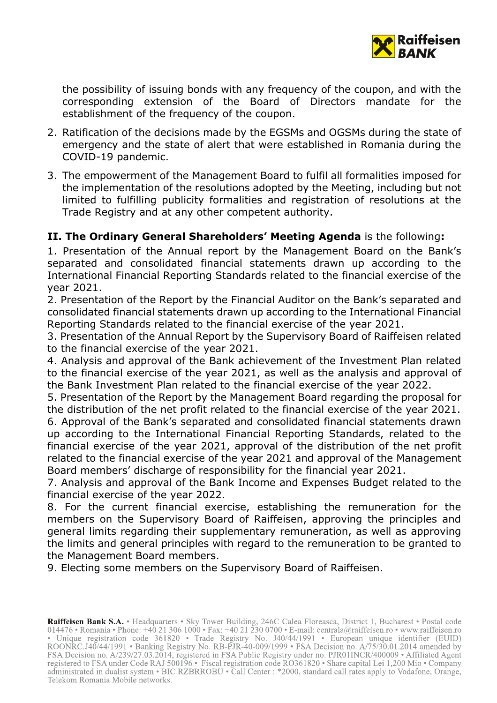

the possibility of issuing bonds with any frequency of the coupon, and with the corresponding extension of the Board of Directors mandate for the establishment of the frequency of the coupon.

- 2. Ratification of the decisions made by the EGSMs and OGSMs during the state of emergency and the state of alert that were established in Romania during the COVID-19 pandemic.
- 3. The empowerment of the Management Board to fulfil all formalities imposed for the implementation of the resolutions adopted by the Meeting, including but not limited to fulfilling publicity formalities and registration of resolutions at the Trade Registry and at any other competent authority.

## **II. The Ordinary General Shareholders' Meeting Agenda** is the following**:**

1. Presentation of the Annual report by the Management Board on the Bank's separated and consolidated financial statements drawn up according to the International Financial Reporting Standards related to the financial exercise of the year 2021.

2. Presentation of the Report by the Financial Auditor on the Bank's separated and consolidated financial statements drawn up according to the International Financial Reporting Standards related to the financial exercise of the year 2021.

3. Presentation of the Annual Report by the Supervisory Board of Raiffeisen related to the financial exercise of the year 2021.

4. Analysis and approval of the Bank achievement of the Investment Plan related to the financial exercise of the year 2021, as well as the analysis and approval of the Bank Investment Plan related to the financial exercise of the year 2022.

5. Presentation of the Report by the Management Board regarding the proposal for the distribution of the net profit related to the financial exercise of the year 2021.

6. Approval of the Bank's separated and consolidated financial statements drawn up according to the International Financial Reporting Standards, related to the financial exercise of the year 2021, approval of the distribution of the net profit related to the financial exercise of the year 2021 and approval of the Management Board members' discharge of responsibility for the financial year 2021.

7. Analysis and approval of the Bank Income and Expenses Budget related to the financial exercise of the year 2022.

8. For the current financial exercise, establishing the remuneration for the members on the Supervisory Board of Raiffeisen, approving the principles and general limits regarding their supplementary remuneration, as well as approving the limits and general principles with regard to the remuneration to be granted to the Management Board members.

9. Electing some members on the Supervisory Board of Raiffeisen.

Raiffeisen Bank S.A. • Headquarters • Sky Tower Building, 246C Calea Floreasca, District 1, Bucharest • Postal code 014476 • Romania • Phone: +40 21 306 1000 • Fax: +40 21 230 0700 • E-mail: centrala@raiffeisen.ro • www.ra • Unique registration code 361820 • Trade Registry No. 140/44/1991 • European unique identifier (EUID)<br>ROONRC.J40/44/1991 • Banking Registry No. RB-PJR-40-009/1999 • FSA Decision no. A/75/30.01.2014 amended by FSA Decision no. A/239/27.03.2014, registered in FSA Public Registry under no. PJR01INCR/400009 • Affiliated Agent registered to FSA under Code RAJ 500196 · Fiscal registration code RO361820 · Share capital Lei 1,200 Mio · Company administrated in dualist system • BIC RZBRROBU • Call Center : \*2000, standard call rates apply to Vodafone, Orange, Telekom Romania Mobile networks.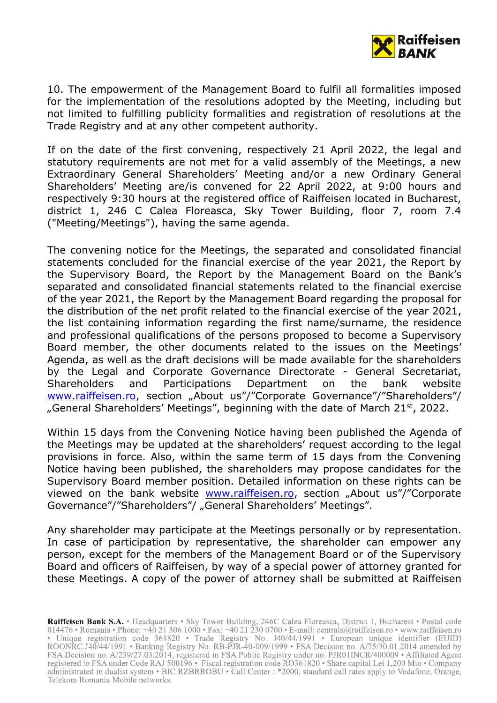

10. The empowerment of the Management Board to fulfil all formalities imposed for the implementation of the resolutions adopted by the Meeting, including but not limited to fulfilling publicity formalities and registration of resolutions at the Trade Registry and at any other competent authority.

If on the date of the first convening, respectively 21 April 2022, the legal and statutory requirements are not met for a valid assembly of the Meetings, a new Extraordinary General Shareholders' Meeting and/or a new Ordinary General Shareholders' Meeting are/is convened for 22 April 2022, at 9:00 hours and respectively 9:30 hours at the registered office of Raiffeisen located in Bucharest, district 1, 246 C Calea Floreasca, Sky Tower Building, floor 7, room 7.4 ("Meeting/Meetings"), having the same agenda.

The convening notice for the Meetings, the separated and consolidated financial statements concluded for the financial exercise of the year 2021, the Report by the Supervisory Board, the Report by the Management Board on the Bank's separated and consolidated financial statements related to the financial exercise of the year 2021, the Report by the Management Board regarding the proposal for the distribution of the net profit related to the financial exercise of the year 2021, the list containing information regarding the first name/surname, the residence and professional qualifications of the persons proposed to become a Supervisory Board member, the other documents related to the issues on the Meetings' Agenda, as well as the draft decisions will be made available for the shareholders by the Legal and Corporate Governance Directorate - General Secretariat, Shareholders and Participations Department on the bank website [www.raiffeisen.ro](http://www.raiffeisen.ro/), section "About us"/"Corporate Governance"/"Shareholders"/ "General Shareholders' Meetings", beginning with the date of March 21st, 2022.

Within 15 days from the Convening Notice having been published the Agenda of the Meetings may be updated at the shareholders' request according to the legal provisions in force. Also, within the same term of 15 days from the Convening Notice having been published, the shareholders may propose candidates for the Supervisory Board member position. Detailed information on these rights can be viewed on the bank website [www.raiffeisen.ro](http://www.raiffeisen.ro/), section "About us"/"Corporate Governance"/"Shareholders"/ "General Shareholders' Meetings".

Any shareholder may participate at the Meetings personally or by representation. In case of participation by representative, the shareholder can empower any person, except for the members of the Management Board or of the Supervisory Board and officers of Raiffeisen, by way of a special power of attorney granted for these Meetings. A copy of the power of attorney shall be submitted at Raiffeisen

Raiffeisen Bank S.A. • Headquarters • Sky Tower Building, 246C Calea Floreasca, District 1, Bucharest • Postal code 014476 • Romania • Phone: +40 21 306 1000 • Fax: +40 21 230 0700 • E-mail: centrala@raiffeisen.ro • www.ra • Unique registration code 361820 • Trade Registry No. 140/44/1991 • European unique identifier (EUID)<br>ROONRC.J40/44/1991 • Banking Registry No. RB-PJR-40-009/1999 • FSA Decision no. A/75/30.01.2014 amended by FSA Decision no. A/239/27.03.2014, registered in FSA Public Registry under no. PJR01INCR/400009 • Affiliated Agent registered to FSA under Code RAJ 500196 · Fiscal registration code RO361820 · Share capital Lei 1,200 Mio · Company administrated in dualist system • BIC RZBRROBU • Call Center : \*2000, standard call rates apply to Vodafone, Orange, Telekom Romania Mobile networks.